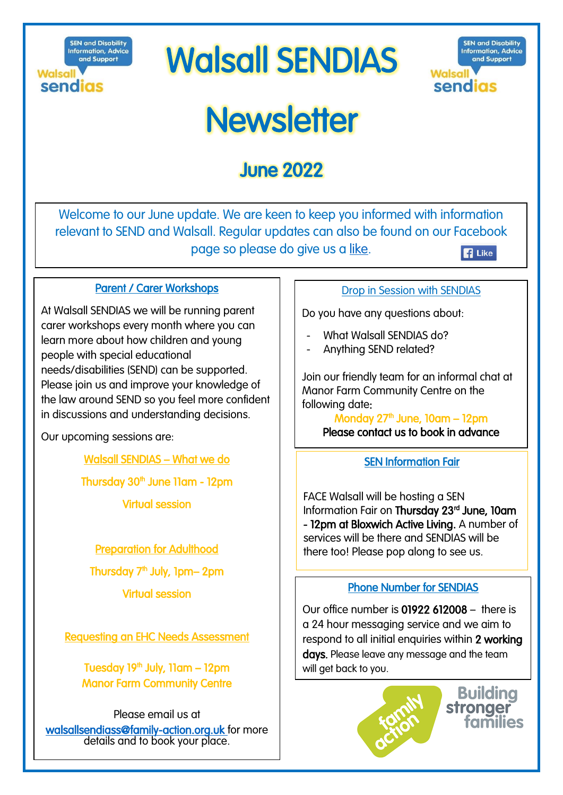**SEN and Disability Information, Advice** and Support **Walsall** sendias

# **Walsall SENDIAS**



# **Newsletter**

## **June 2022**

Welcome to our June update. We are keen to keep you informed with information relevant to SEND and Walsall. Regular updates can also be found on our Facebook page so please do give us a [like.](https://www.facebook.com/pages/category/Nonprofit-Organization/Walsall-Sendiass-103460271497687/) **B** Like

Parent / Carer Workshops

At Walsall SENDIAS we will be running parent carer workshops every month where you can learn more about how children and young people with special educational needs/disabilities (SEND) can be supported. Please join us and improve your knowledge of the law around SEND so you feel more confident in discussions and understanding decisions.

Our upcoming sessions are:

Walsall SENDIAS – What we do

Thursday 30<sup>th</sup> June 11am - 12pm

Virtual session

Preparation for Adulthood

Thursday 7<sup>th</sup> July, 1pm– 2pm

Virtual session

Requesting an EHC Needs Assessment

Tuesday 19<sup>th</sup> July, 11am – 12pm Manor Farm Community Centre

Please email us at [walsallsendiass@family-action.org.uk](mailto:walsallsendiass@family-action.org.uk) for more details and to book your place.

## Drop in Session with SENDIAS

Do you have any questions about:

- What Walsall SENDIAS do?
- Anything SEND related?

Join our friendly team for an informal chat at Manor Farm Community Centre on the following date:

Monday  $27<sup>th</sup>$  June, 10am – 12pm Please contact us to book in advance

## SEN Information Fair

FACE Walsall will be hosting a SEN Information Fair on Thursday 23<sup>rd</sup> June, 10am - 12pm at Bloxwich Active Living. A number of services will be there and SENDIAS will be there too! Please pop along to see us.

## Phone Number for SENDIAS

Our office number is 01922 612008 – there is a 24 hour messaging service and we aim to respond to all initial enquiries within 2 working days. Please leave any message and the team will get back to you.



**Building** stronger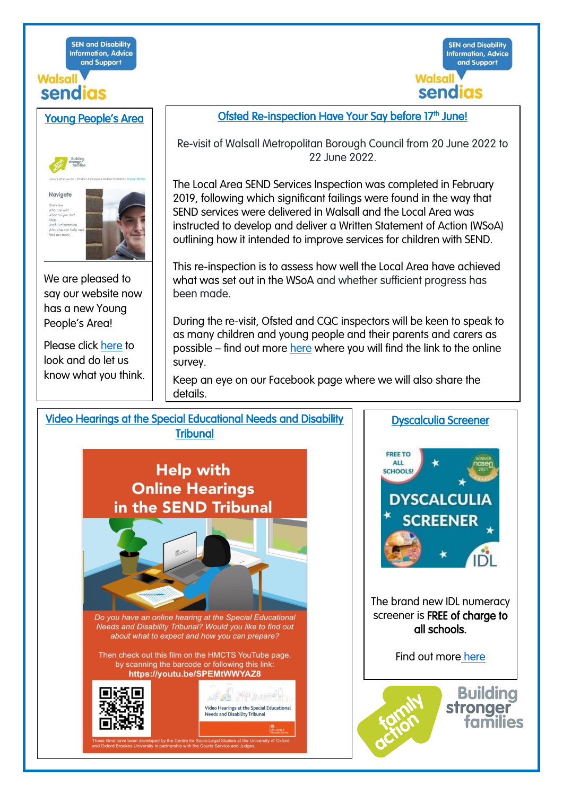**SEN and Disability Information, Advice** and Support

## **Walsall** sendias





We are pleased to say our website now has a new Young People's Area!

Please click [here](https://www.family-action.org.uk/what-we-do/children-families/walsall-sendiass/walsall-sendias-young-peoples-area/) to look and do let us know what you think. Ofsted Re-inspection Have Your Say before 17<sup>th</sup> June!

**SEN and Disability** 

**Information, Advice** 

and Support

**Walsall** 

sendias

Re-visit of Walsall Metropolitan Borough Council from 20 June 2022 to 22 June 2022.

The Local Area SEND Services Inspection was completed in February 2019, following which significant failings were found in the way that SEND services were delivered in Walsall and the Local Area was instructed to develop and deliver a Written Statement of Action (WSoA) outlining how it intended to improve services for children with SEND.

This re-inspection is to assess how well the Local Area have achieved what was set out in the WSoA and whether sufficient progress has been made.

During the re-visit, Ofsted and CQC inspectors will be keen to speak to as many children and young people and their parents and carers as possible – find out more [here](https://go.walsall.gov.uk/the-send-local-offer/The-SEND-Local-Offer/News-and-Information/SEND-Services-Re-Inspection) where you will find the link to the online survey.

Keep an eye on our Facebook page where we will also share the details.